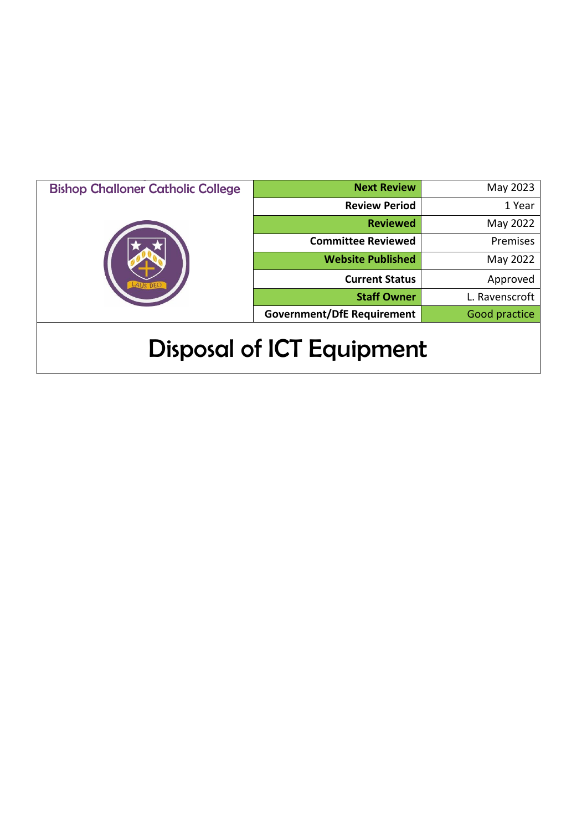| <b>Bishop Challoner Catholic College</b> | <b>Next Review</b>                | May 2023       |
|------------------------------------------|-----------------------------------|----------------|
|                                          | <b>Review Period</b>              | 1 Year         |
|                                          | <b>Reviewed</b>                   | May 2022       |
|                                          | <b>Committee Reviewed</b>         | Premises       |
|                                          | <b>Website Published</b>          | May 2022       |
|                                          | <b>Current Status</b>             | Approved       |
|                                          | <b>Staff Owner</b>                | L. Ravenscroft |
|                                          | <b>Government/DfE Requirement</b> | Good practice  |
| <b>Disposal of ICT Equipment</b>         |                                   |                |